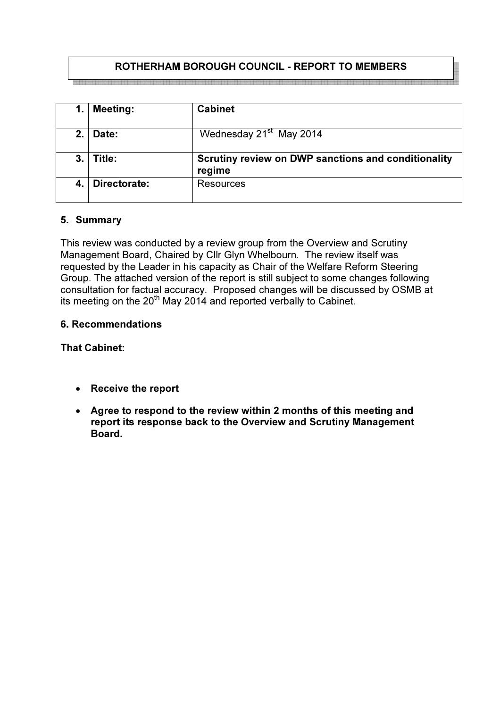# ROTHERHAM BOROUGH COUNCIL - REPORT TO MEMBERS

| 1.      | <b>Meeting:</b> | <b>Cabinet</b>                                                |
|---------|-----------------|---------------------------------------------------------------|
| $2_{-}$ | Date:           | Wednesday 21 <sup>st</sup> May 2014                           |
| 3.      | Title:          | Scrutiny review on DWP sanctions and conditionality<br>regime |
| 4.      | Directorate:    | <b>Resources</b>                                              |

## 5. Summary

This review was conducted by a review group from the Overview and Scrutiny Management Board, Chaired by Cllr Glyn Whelbourn. The review itself was requested by the Leader in his capacity as Chair of the Welfare Reform Steering Group. The attached version of the report is still subject to some changes following consultation for factual accuracy. Proposed changes will be discussed by OSMB at its meeting on the 20th May 2014 and reported verbally to Cabinet.

### 6. Recommendations

## That Cabinet:

- Receive the report
- Agree to respond to the review within 2 months of this meeting and report its response back to the Overview and Scrutiny Management Board.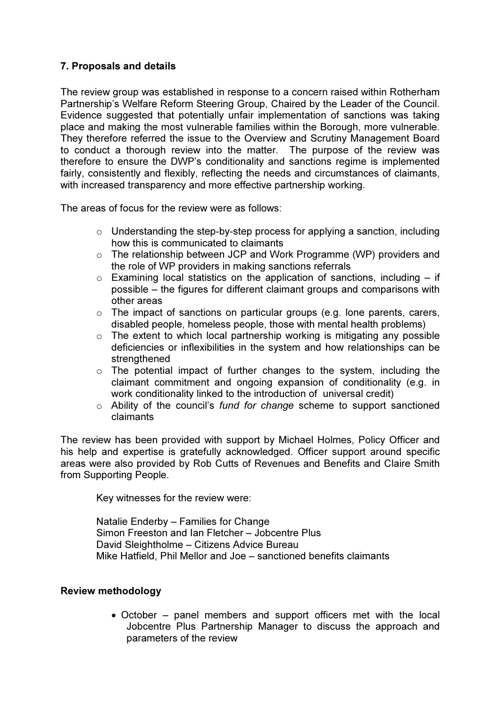## 7. Proposals and details

The review group was established in response to a concern raised within Rotherham Partnership's Welfare Reform Steering Group, Chaired by the Leader of the Council. Evidence suggested that potentially unfair implementation of sanctions was taking place and making the most vulnerable families within the Borough, more vulnerable. They therefore referred the issue to the Overview and Scrutiny Management Board to conduct a thorough review into the matter. The purpose of the review was therefore to ensure the DWP's conditionality and sanctions regime is implemented fairly, consistently and flexibly, reflecting the needs and circumstances of claimants, with increased transparency and more effective partnership working.

The areas of focus for the review were as follows:

- o Understanding the step-by-step process for applying a sanction, including how this is communicated to claimants
- o The relationship between JCP and Work Programme (WP) providers and the role of WP providers in making sanctions referrals
- $\circ$  Examining local statistics on the application of sanctions, including if possible – the figures for different claimant groups and comparisons with other areas
- $\circ$  The impact of sanctions on particular groups (e.g. lone parents, carers, disabled people, homeless people, those with mental health problems)
- $\circ$  The extent to which local partnership working is mitigating any possible deficiencies or inflexibilities in the system and how relationships can be strengthened
- o The potential impact of further changes to the system, including the claimant commitment and ongoing expansion of conditionality (e.g. in work conditionality linked to the introduction of universal credit)
- $\circ$  Ability of the council's fund for change scheme to support sanctioned claimants

The review has been provided with support by Michael Holmes, Policy Officer and his help and expertise is gratefully acknowledged. Officer support around specific areas were also provided by Rob Cutts of Revenues and Benefits and Claire Smith from Supporting People.

Key witnesses for the review were:

Natalie Enderby – Families for Change Simon Freeston and Ian Fletcher – Jobcentre Plus David Sleightholme – Citizens Advice Bureau Mike Hatfield, Phil Mellor and Joe – sanctioned benefits claimants

### Review methodology

• October – panel members and support officers met with the local Jobcentre Plus Partnership Manager to discuss the approach and parameters of the review